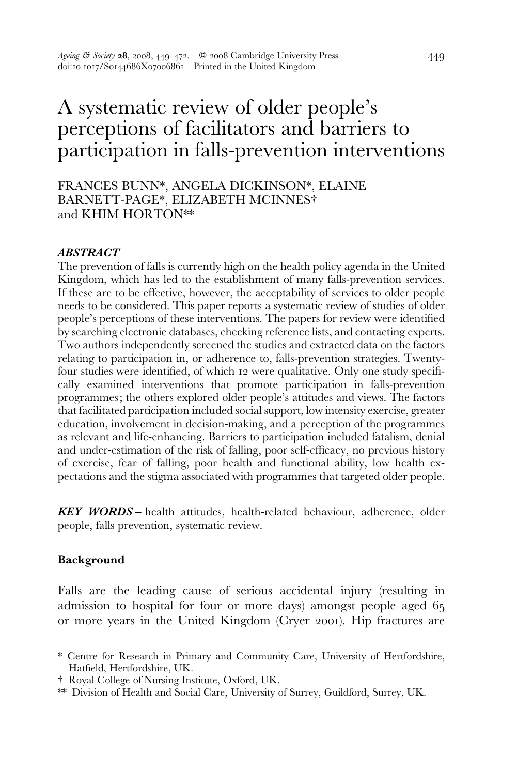# A systematic review of older people's perceptions of facilitators and barriers to participation in falls-prevention interventions

FRANCES BUNN\*, ANGELA DICKINSON\*, ELAINE BARNETT-PAGE\*, ELIZABETH MCINNES# and KHIM HORTON\*\*

#### ABSTRACT

The prevention of falls is currently high on the health policy agenda in the United Kingdom, which has led to the establishment of many falls-prevention services. If these are to be effective, however, the acceptability of services to older people needs to be considered. This paper reports a systematic review of studies of older people's perceptions of these interventions. The papers for review were identified by searching electronic databases, checking reference lists, and contacting experts. Two authors independently screened the studies and extracted data on the factors relating to participation in, or adherence to, falls-prevention strategies. Twentyfour studies were identified, of which 12 were qualitative. Only one study specifically examined interventions that promote participation in falls-prevention programmes; the others explored older people's attitudes and views. The factors that facilitated participation included social support, low intensity exercise, greater education, involvement in decision-making, and a perception of the programmes as relevant and life-enhancing. Barriers to participation included fatalism, denial and under-estimation of the risk of falling, poor self-efficacy, no previous history of exercise, fear of falling, poor health and functional ability, low health expectations and the stigma associated with programmes that targeted older people.

KEY WORDS – health attitudes, health-related behaviour, adherence, older people, falls prevention, systematic review.

#### Background

Falls are the leading cause of serious accidental injury (resulting in admission to hospital for four or more days) amongst people aged 65 or more years in the United Kingdom (Cryer 2001). Hip fractures are

<sup>\*</sup> Centre for Research in Primary and Community Care, University of Hertfordshire, Hatfield, Hertfordshire, UK.

<sup>#</sup> Royal College of Nursing Institute, Oxford, UK.

<sup>\*\*</sup> Division of Health and Social Care, University of Surrey, Guildford, Surrey, UK.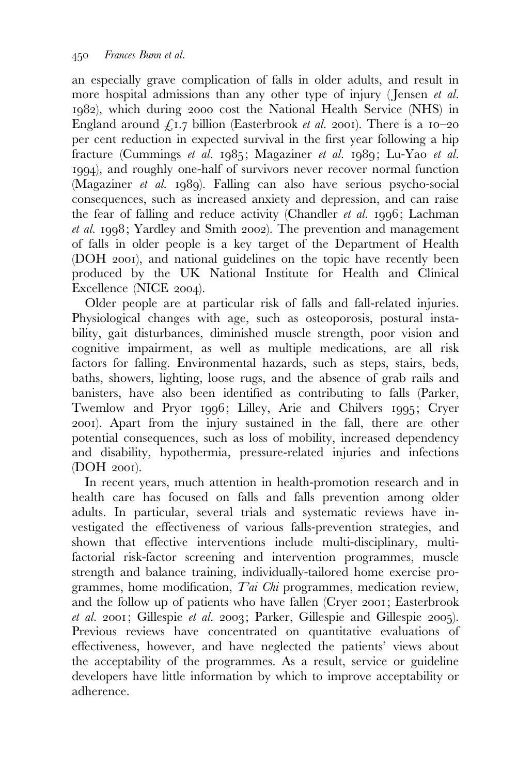an especially grave complication of falls in older adults, and result in more hospital admissions than any other type of injury (Jensen et al. 1982), which during 2000 cost the National Health Service (NHS) in England around  $f_{1.7}$  billion (Easterbrook *et al.* 2001). There is a 10–20 per cent reduction in expected survival in the first year following a hip fracture (Cummings et al. 1985; Magaziner et al. 1989; Lu-Yao et al. 1994), and roughly one-half of survivors never recover normal function (Magaziner et al. 1989). Falling can also have serious psycho-social consequences, such as increased anxiety and depression, and can raise the fear of falling and reduce activity (Chandler et al. 1996; Lachman et al. 1998; Yardley and Smith 2002). The prevention and management of falls in older people is a key target of the Department of Health (DOH 2001), and national guidelines on the topic have recently been produced by the UK National Institute for Health and Clinical Excellence (NICE 2004).

Older people are at particular risk of falls and fall-related injuries. Physiological changes with age, such as osteoporosis, postural instability, gait disturbances, diminished muscle strength, poor vision and cognitive impairment, as well as multiple medications, are all risk factors for falling. Environmental hazards, such as steps, stairs, beds, baths, showers, lighting, loose rugs, and the absence of grab rails and banisters, have also been identified as contributing to falls (Parker, Twemlow and Pryor 1996; Lilley, Arie and Chilvers 1995; Cryer 2001). Apart from the injury sustained in the fall, there are other potential consequences, such as loss of mobility, increased dependency and disability, hypothermia, pressure-related injuries and infections (DOH 2001).

In recent years, much attention in health-promotion research and in health care has focused on falls and falls prevention among older adults. In particular, several trials and systematic reviews have investigated the effectiveness of various falls-prevention strategies, and shown that effective interventions include multi-disciplinary, multifactorial risk-factor screening and intervention programmes, muscle strength and balance training, individually-tailored home exercise programmes, home modification, Tai Chi programmes, medication review, and the follow up of patients who have fallen (Cryer 2001; Easterbrook et al. 2001; Gillespie et al. 2003; Parker, Gillespie and Gillespie 2005). Previous reviews have concentrated on quantitative evaluations of effectiveness, however, and have neglected the patients' views about the acceptability of the programmes. As a result, service or guideline developers have little information by which to improve acceptability or adherence.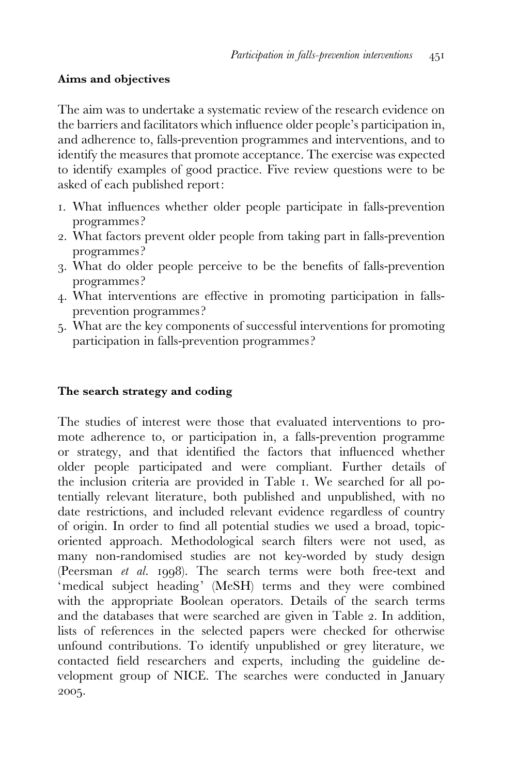## Aims and objectives

The aim was to undertake a systematic review of the research evidence on the barriers and facilitators which influence older people's participation in, and adherence to, falls-prevention programmes and interventions, and to identify the measures that promote acceptance. The exercise was expected to identify examples of good practice. Five review questions were to be asked of each published report:

- 1. What influences whether older people participate in falls-prevention programmes?
- 2. What factors prevent older people from taking part in falls-prevention programmes?
- 3. What do older people perceive to be the benefits of falls-prevention programmes?
- 4. What interventions are effective in promoting participation in fallsprevention programmes ?
- 5. What are the key components of successful interventions for promoting participation in falls-prevention programmes?

# The search strategy and coding

The studies of interest were those that evaluated interventions to promote adherence to, or participation in, a falls-prevention programme or strategy, and that identified the factors that influenced whether older people participated and were compliant. Further details of the inclusion criteria are provided in Table 1. We searched for all potentially relevant literature, both published and unpublished, with no date restrictions, and included relevant evidence regardless of country of origin. In order to find all potential studies we used a broad, topicoriented approach. Methodological search filters were not used, as many non-randomised studies are not key-worded by study design (Peersman et al. 1998). The search terms were both free-text and 'medical subject heading' (MeSH) terms and they were combined with the appropriate Boolean operators. Details of the search terms and the databases that were searched are given in Table 2. In addition, lists of references in the selected papers were checked for otherwise unfound contributions. To identify unpublished or grey literature, we contacted field researchers and experts, including the guideline development group of NICE. The searches were conducted in January 2005.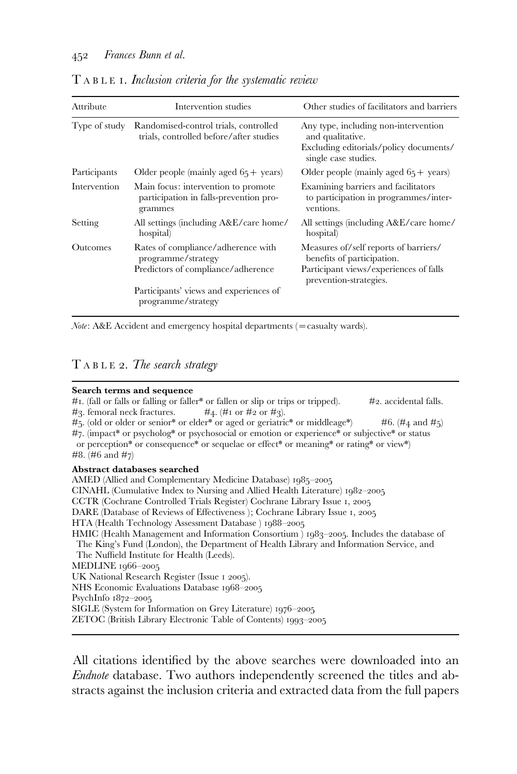| Attribute     | Intervention studies                                                                           | Other studies of facilitators and barriers                                                                                              |
|---------------|------------------------------------------------------------------------------------------------|-----------------------------------------------------------------------------------------------------------------------------------------|
| Type of study | Randomised-control trials, controlled<br>trials, controlled before/after studies               | Any type, including non-intervention<br>and qualitative.<br>Excluding editorials/policy documents/<br>single case studies.              |
| Participants  | Older people (mainly aged $65 + \text{ years}$ )                                               | Older people (mainly aged $65 + \text{ years}$ )                                                                                        |
| Intervention  | Main focus: intervention to promote<br>participation in falls-prevention pro-<br>grammes       | Examining barriers and facilitators<br>to participation in programmes/inter-<br>ventions.                                               |
| Setting       | All settings (including A&E/care home/<br>hospital)                                            | All settings (including A&E/care home/<br>hospital)                                                                                     |
| Outcomes      | Rates of compliance/adherence with<br>programme/strategy<br>Predictors of compliance/adherence | Measures of/self reports of barriers/<br>benefits of participation.<br>Participant views/experiences of falls<br>prevention-strategies. |
|               | Participants' views and experiences of<br>programme/strategy                                   |                                                                                                                                         |

# T ABLE 1. Inclusion criteria for the systematic review

 $Note: A&E$  Accident and emergency hospital departments (= casualty wards).

## T ABLE 2. The search strategy

| Search terms and sequence                                                                                         |
|-------------------------------------------------------------------------------------------------------------------|
| $\#$ I. (fall or falls or falling or faller* or fallen or slip or trips or tripped).<br>$#_2$ , accidental falls. |
| $\#$ 3. femoral neck fractures. $\#$ 4. ( $\#$ I or $\#$ 2 or $\#$ 3).                                            |
| $\#$ 5. (old or older or senior* or elder* or aged or geriatric* or middleage*) $\#$ 6. (#4 and #5)               |
| #7. (impact* or psycholog* or psychosocial or emotion or experience* or subjective* or status                     |
| or perception* or consequence* or sequelae or effect* or meaning* or rating* or view*)                            |
| #8. $(\#6 \text{ and } \#7)$                                                                                      |
| Abstract databases searched                                                                                       |
| AMED (Allied and Complementary Medicine Database) 1985–2005                                                       |
| CINAHL (Cumulative Index to Nursing and Allied Health Literature) 1982–2005                                       |
| CCTR (Cochrane Controlled Trials Register) Cochrane Library Issue 1, 2005                                         |
| DARE (Database of Reviews of Effectiveness); Cochrane Library Issue 1, 2005                                       |
| HTA (Health Technology Assessment Database) 1988-2005                                                             |
| HMIC (Health Management and Information Consortium) 1983–2005. Includes the database of                           |
| The King's Fund (London), the Department of Health Library and Information Service, and                           |
| The Nuffield Institute for Health (Leeds).                                                                        |
| MEDLINE $1966 - 2005$                                                                                             |
| UK National Research Register (Issue 1 2005).                                                                     |
| NHS Economic Evaluations Database 1968–2005                                                                       |
| PsychInfo $1872-2005$                                                                                             |
| SIGLE (System for Information on Grey Literature) 1976–2005                                                       |
| ZETOC (British Library Electronic Table of Contents) 1993–2005                                                    |

All citations identified by the above searches were downloaded into an Endnote database. Two authors independently screened the titles and abstracts against the inclusion criteria and extracted data from the full papers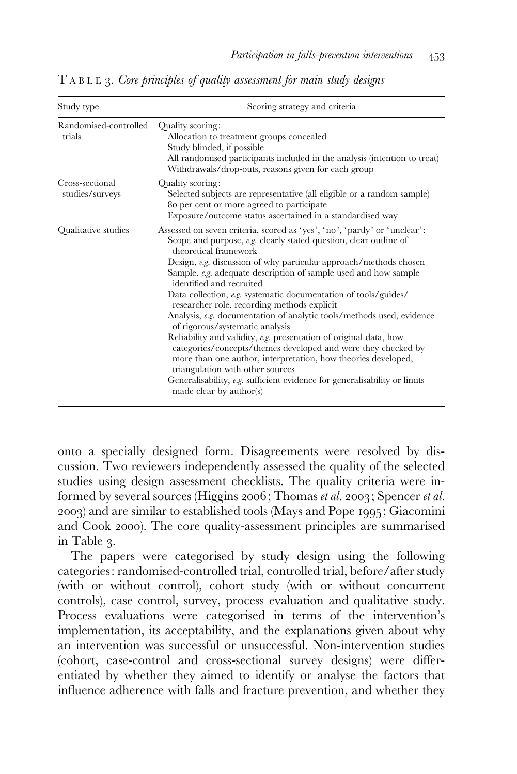| Study type                         | Scoring strategy and criteria                                                                                                                                                                                                                                                                                                                                                                                                                                                                                                                                                                                                                                                                                                                                                                                                                                                                                                      |  |  |  |  |
|------------------------------------|------------------------------------------------------------------------------------------------------------------------------------------------------------------------------------------------------------------------------------------------------------------------------------------------------------------------------------------------------------------------------------------------------------------------------------------------------------------------------------------------------------------------------------------------------------------------------------------------------------------------------------------------------------------------------------------------------------------------------------------------------------------------------------------------------------------------------------------------------------------------------------------------------------------------------------|--|--|--|--|
| Randomised-controlled<br>trials    | Quality scoring:<br>Allocation to treatment groups concealed<br>Study blinded, if possible<br>All randomised participants included in the analysis (intention to treat)<br>Withdrawals/drop-outs, reasons given for each group                                                                                                                                                                                                                                                                                                                                                                                                                                                                                                                                                                                                                                                                                                     |  |  |  |  |
| Cross-sectional<br>studies/surveys | Quality scoring:<br>Selected subjects are representative (all eligible or a random sample)<br>80 per cent or more agreed to participate<br>Exposure/outcome status ascertained in a standardised way                                                                                                                                                                                                                                                                                                                                                                                                                                                                                                                                                                                                                                                                                                                               |  |  |  |  |
| Qualitative studies                | Assessed on seven criteria, scored as 'yes', 'no', 'partly' or 'unclear':<br>Scope and purpose, e.g. clearly stated question, clear outline of<br>theoretical framework<br>Design, $e.g.$ discussion of why particular approach/methods chosen<br>Sample, e.g. adequate description of sample used and how sample<br>identified and recruited<br>Data collection, e.g. systematic documentation of tools/guides/<br>researcher role, recording methods explicit<br>Analysis, e.g. documentation of analytic tools/methods used, evidence<br>of rigorous/systematic analysis<br>Reliability and validity, $e.g.$ presentation of original data, how<br>categories/concepts/themes developed and were they checked by<br>more than one author, interpretation, how theories developed,<br>triangulation with other sources<br>Generalisability, $e.g.$ sufficient evidence for generalisability or limits<br>made clear by author(s) |  |  |  |  |

T ABLE 3. Core principles of quality assessment for main study designs

onto a specially designed form. Disagreements were resolved by discussion. Two reviewers independently assessed the quality of the selected studies using design assessment checklists. The quality criteria were informed by several sources (Higgins 2006; Thomas et al. 2003; Spencer et al. 2003) and are similar to established tools (Mays and Pope 1995; Giacomini and Cook 2000). The core quality-assessment principles are summarised in Table 3.

The papers were categorised by study design using the following categories: randomised-controlled trial, controlled trial, before/after study (with or without control), cohort study (with or without concurrent controls), case control, survey, process evaluation and qualitative study. Process evaluations were categorised in terms of the intervention's implementation, its acceptability, and the explanations given about why an intervention was successful or unsuccessful. Non-intervention studies (cohort, case-control and cross-sectional survey designs) were differentiated by whether they aimed to identify or analyse the factors that influence adherence with falls and fracture prevention, and whether they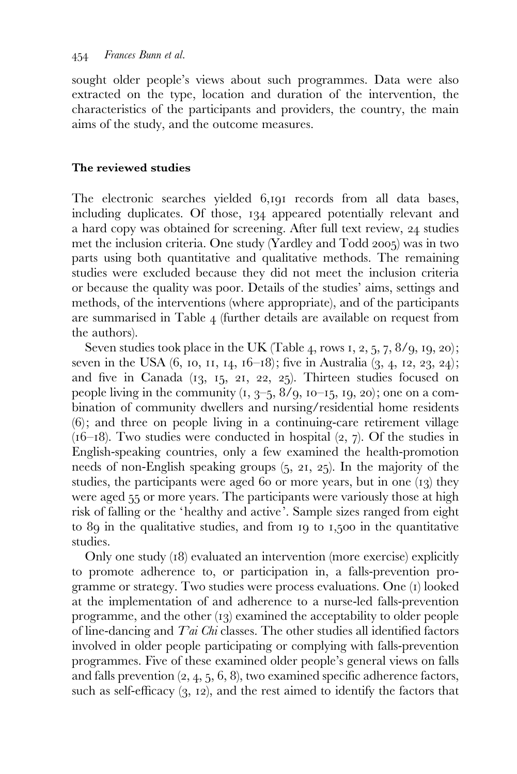sought older people's views about such programmes. Data were also extracted on the type, location and duration of the intervention, the characteristics of the participants and providers, the country, the main aims of the study, and the outcome measures.

#### The reviewed studies

The electronic searches yielded 6,191 records from all data bases, including duplicates. Of those, 134 appeared potentially relevant and a hard copy was obtained for screening. After full text review, 24 studies met the inclusion criteria. One study (Yardley and Todd 2005) was in two parts using both quantitative and qualitative methods. The remaining studies were excluded because they did not meet the inclusion criteria or because the quality was poor. Details of the studies' aims, settings and methods, of the interventions (where appropriate), and of the participants are summarised in Table 4 (further details are available on request from the authors).

Seven studies took place in the UK (Table 4, rows 1, 2, 5, 7,  $8/9$ , 19, 20); seven in the USA  $(6, 10, 11, 14, 16-18)$ ; five in Australia  $(3, 4, 12, 23, 24)$ ; and five in Canada (13, 15, 21, 22, 25). Thirteen studies focused on people living in the community  $(1, 3, -5, 8/9, 10, -15, 19, 20)$ ; one on a combination of community dwellers and nursing/residential home residents (6); and three on people living in a continuing-care retirement village  $(16–18)$ . Two studies were conducted in hospital  $(2, 7)$ . Of the studies in English-speaking countries, only a few examined the health-promotion needs of non-English speaking groups (5, 21, 25). In the majority of the studies, the participants were aged 60 or more years, but in one (13) they were aged 55 or more years. The participants were variously those at high risk of falling or the 'healthy and active'. Sample sizes ranged from eight to 89 in the qualitative studies, and from 19 to 1,500 in the quantitative studies.

Only one study (18) evaluated an intervention (more exercise) explicitly to promote adherence to, or participation in, a falls-prevention programme or strategy. Two studies were process evaluations. One (1) looked at the implementation of and adherence to a nurse-led falls-prevention programme, and the other (13) examined the acceptability to older people of line-dancing and  $Tai$  Chi classes. The other studies all identified factors involved in older people participating or complying with falls-prevention programmes. Five of these examined older people's general views on falls and falls prevention  $(2, 4, 5, 6, 8)$ , two examined specific adherence factors, such as self-efficacy (3, 12), and the rest aimed to identify the factors that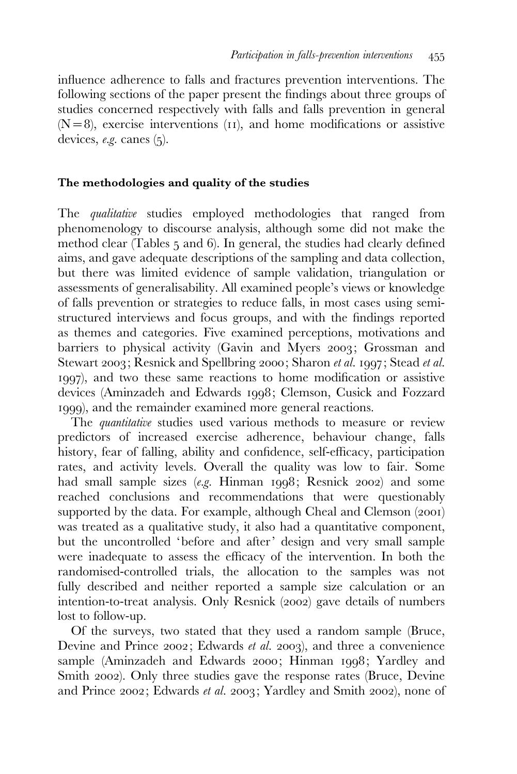influence adherence to falls and fractures prevention interventions. The following sections of the paper present the findings about three groups of studies concerned respectively with falls and falls prevention in general  $(N=8)$ , exercise interventions (11), and home modifications or assistive devices, e.g. canes (5).

#### The methodologies and quality of the studies

The *qualitative* studies employed methodologies that ranged from phenomenology to discourse analysis, although some did not make the method clear (Tables 5 and 6). In general, the studies had clearly defined aims, and gave adequate descriptions of the sampling and data collection, but there was limited evidence of sample validation, triangulation or assessments of generalisability. All examined people's views or knowledge of falls prevention or strategies to reduce falls, in most cases using semistructured interviews and focus groups, and with the findings reported as themes and categories. Five examined perceptions, motivations and barriers to physical activity (Gavin and Myers 2003; Grossman and Stewart 2003; Resnick and Spellbring 2000; Sharon et al. 1997; Stead et al. 1997), and two these same reactions to home modification or assistive devices (Aminzadeh and Edwards 1998; Clemson, Cusick and Fozzard 1999), and the remainder examined more general reactions.

The *quantitative* studies used various methods to measure or review predictors of increased exercise adherence, behaviour change, falls history, fear of falling, ability and confidence, self-efficacy, participation rates, and activity levels. Overall the quality was low to fair. Some had small sample sizes (e.g. Hinman 1998; Resnick 2002) and some reached conclusions and recommendations that were questionably supported by the data. For example, although Cheal and Clemson (2001) was treated as a qualitative study, it also had a quantitative component, but the uncontrolled 'before and after' design and very small sample were inadequate to assess the efficacy of the intervention. In both the randomised-controlled trials, the allocation to the samples was not fully described and neither reported a sample size calculation or an intention-to-treat analysis. Only Resnick (2002) gave details of numbers lost to follow-up.

Of the surveys, two stated that they used a random sample (Bruce, Devine and Prince 2002; Edwards et al. 2003), and three a convenience sample (Aminzadeh and Edwards 2000; Hinman 1998; Yardley and Smith 2002). Only three studies gave the response rates (Bruce, Devine and Prince 2002; Edwards et al. 2003; Yardley and Smith 2002), none of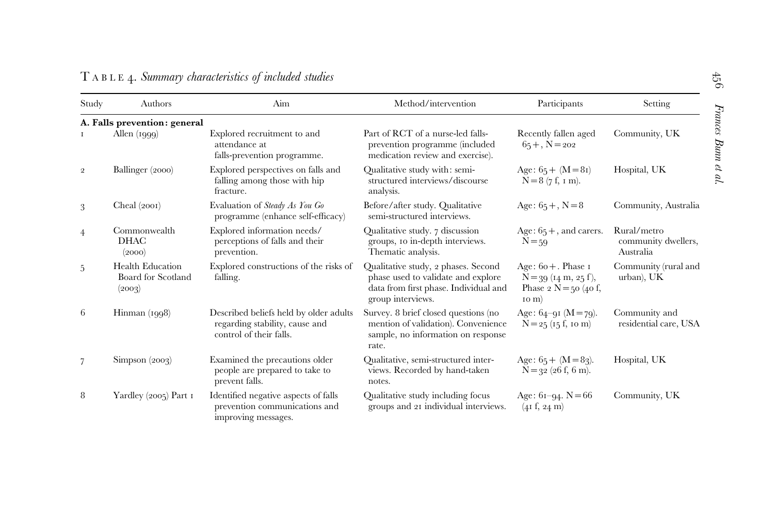| Study          | Authors                                                 | Aim                                                                                                 | Method/intervention                                                                                                                     | Participants                                                                              | Setting                                         |
|----------------|---------------------------------------------------------|-----------------------------------------------------------------------------------------------------|-----------------------------------------------------------------------------------------------------------------------------------------|-------------------------------------------------------------------------------------------|-------------------------------------------------|
|                | A. Falls prevention: general                            |                                                                                                     |                                                                                                                                         |                                                                                           |                                                 |
|                | Allen $(1999)$                                          | Explored recruitment to and<br>attendance at<br>falls-prevention programme.                         | Part of RCT of a nurse-led falls-<br>prevention programme (included<br>medication review and exercise).                                 | Recently fallen aged<br>$65 +$ , N = 202                                                  | Community, UK                                   |
| $\overline{2}$ | Ballinger (2000)                                        | Explored perspectives on falls and<br>falling among those with hip<br>fracture.                     | Qualitative study with: semi-<br>structured interviews/discourse<br>analysis.                                                           | Age: $65 + (M = 8i)$<br>$N=8$ (7 f, 1 m).                                                 | Hospital, UK                                    |
| 3              | Cheal $(2001)$                                          | Evaluation of Steady As You Go<br>programme (enhance self-efficacy)                                 | Before/after study. Qualitative<br>semi-structured interviews.                                                                          | Age: $65 +$ , N = 8                                                                       | Community, Australia                            |
| $\overline{4}$ | Commonwealth<br><b>DHAC</b><br>(2000)                   | Explored information needs/<br>perceptions of falls and their<br>prevention.                        | Qualitative study. 7 discussion<br>groups, 10 in-depth interviews.<br>Thematic analysis.                                                | Age: $65 +$ , and carers.<br>$N = 59$                                                     | Rural/metro<br>community dwellers,<br>Australia |
| 5              | <b>Health Education</b><br>Board for Scotland<br>(2003) | Explored constructions of the risks of<br>falling.                                                  | Qualitative study, 2 phases. Second<br>phase used to validate and explore<br>data from first phase. Individual and<br>group interviews. | Age: $60 +$ . Phase I<br>$N = 39$ (14 m, 25 f),<br>Phase 2 $N = 50$ (40 f,<br>$\sigma(m)$ | Community (rural and<br>urban), UK              |
| 6              | $Himman$ $(1998)$                                       | Described beliefs held by older adults<br>regarding stability, cause and<br>control of their falls. | Survey. 8 brief closed questions (no<br>mention of validation). Convenience<br>sample, no information on response<br>rate.              | Age: $64-91$ (M = 79).<br>$N = 25$ (15 f, 10 m)                                           | Community and<br>residential care, USA          |
| $\overline{7}$ | Simpson (2003)                                          | Examined the precautions older<br>people are prepared to take to<br>prevent falls.                  | Qualitative, semi-structured inter-<br>views. Recorded by hand-taken<br>notes.                                                          | Age: $65 + (M = 83)$ .<br>$N = 32$ (26 f, 6 m).                                           | Hospital, UK                                    |
| 8              | Yardley $(2005)$ Part 1                                 | Identified negative aspects of falls<br>prevention communications and<br>improving messages.        | Qualitative study including focus<br>groups and 21 individual interviews.                                                               | Age: $61-94$ . N = 66<br>(41 f, 24 m)                                                     | Community, UK                                   |

## T ABLE 4. Summary characteristics of included studies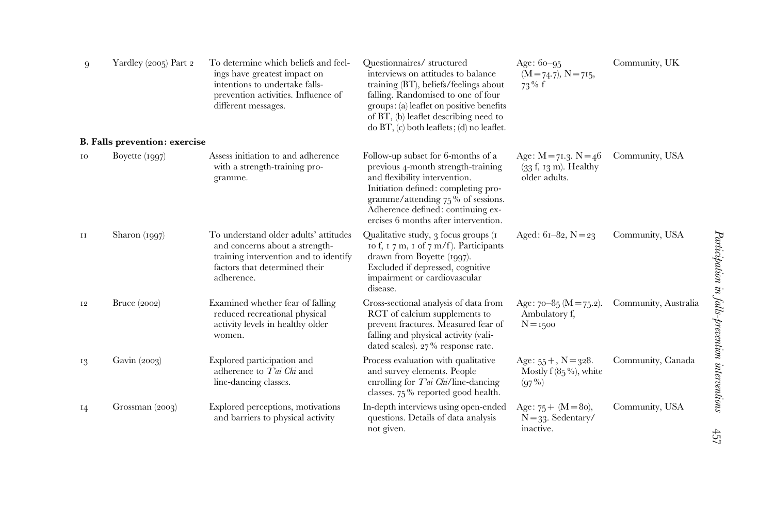| 9         | Yardley $(2005)$ Part 2       | To determine which beliefs and feel-<br>Ouestionnaires/structured<br>interviews on attitudes to balance<br>ings have greatest impact on<br>intentions to undertake falls-<br>training (BT), beliefs/feelings about<br>prevention activities. Influence of<br>falling. Randomised to one of four<br>groups: (a) leaflet on positive benefits<br>different messages.<br>of BT, (b) leaflet describing need to<br>$\phi$ BT, $(c)$ both leaflets; $(d)$ no leaflet. |                                                                                                                                                                                                                                                                       | Age: $60 - 95$<br>$(M = 74.7), N = 715,$<br>$73\%$ f                    | Community, UK        |  |
|-----------|-------------------------------|------------------------------------------------------------------------------------------------------------------------------------------------------------------------------------------------------------------------------------------------------------------------------------------------------------------------------------------------------------------------------------------------------------------------------------------------------------------|-----------------------------------------------------------------------------------------------------------------------------------------------------------------------------------------------------------------------------------------------------------------------|-------------------------------------------------------------------------|----------------------|--|
|           | B. Falls prevention: exercise |                                                                                                                                                                                                                                                                                                                                                                                                                                                                  |                                                                                                                                                                                                                                                                       |                                                                         |                      |  |
| 10        | Boyette $(1997)$              | Assess initiation to and adherence<br>with a strength-training pro-<br>gramme.                                                                                                                                                                                                                                                                                                                                                                                   | Follow-up subset for 6-months of a<br>previous 4-month strength-training<br>and flexibility intervention.<br>Initiation defined: completing pro-<br>gramme/attending $75\%$ of sessions.<br>Adherence defined: continuing ex-<br>ercises 6 months after intervention. | Age: $M = 71.3$ . $N = 46$<br>$(33 f, 13 m)$ . Healthy<br>older adults. | Community, USA       |  |
| $\rm{II}$ | Sharon $(1997)$               | To understand older adults' attitudes<br>and concerns about a strength-<br>training intervention and to identify<br>factors that determined their<br>adherence.                                                                                                                                                                                                                                                                                                  | Qualitative study, 3 focus groups (1<br>to f, $\tau$ 7 m, $\tau$ of 7 m/f). Participants<br>drawn from Boyette (1997).<br>Excluded if depressed, cognitive<br>impairment or cardiovascular<br>disease.                                                                | Aged: $61-82$ , $N=23$                                                  | Community, USA       |  |
| 12        | Bruce $(2002)$                | Examined whether fear of falling<br>reduced recreational physical<br>activity levels in healthy older<br>women.                                                                                                                                                                                                                                                                                                                                                  | Cross-sectional analysis of data from<br>RCT of calcium supplements to<br>prevent fractures. Measured fear of<br>falling and physical activity (vali-<br>dated scales). $27\%$ response rate.                                                                         | Age: $70-85$ (M = 75.2).<br>Ambulatory f,<br>$N = 1500$                 | Community, Australia |  |
| 13        | Gavin $(2003)$                | Explored participation and<br>adherence to Tai Chi and<br>line-dancing classes.                                                                                                                                                                                                                                                                                                                                                                                  | Process evaluation with qualitative<br>and survey elements. People<br>enrolling for $Tai$ Chi/line-dancing<br>classes. 75% reported good health.                                                                                                                      | Age: $55 +$ , N = 328.<br>Mostly $f(85\%)$ , white<br>$(97\%)$          | Community, Canada    |  |
| 14        | Grossman $(2003)$             | Explored perceptions, motivations<br>and barriers to physical activity                                                                                                                                                                                                                                                                                                                                                                                           | In-depth interviews using open-ended<br>questions. Details of data analysis<br>not given.                                                                                                                                                                             | Age: $75 + (M = 80)$ ,<br>$N = 33$ . Sedentary/<br>inactive.            | Community, USA       |  |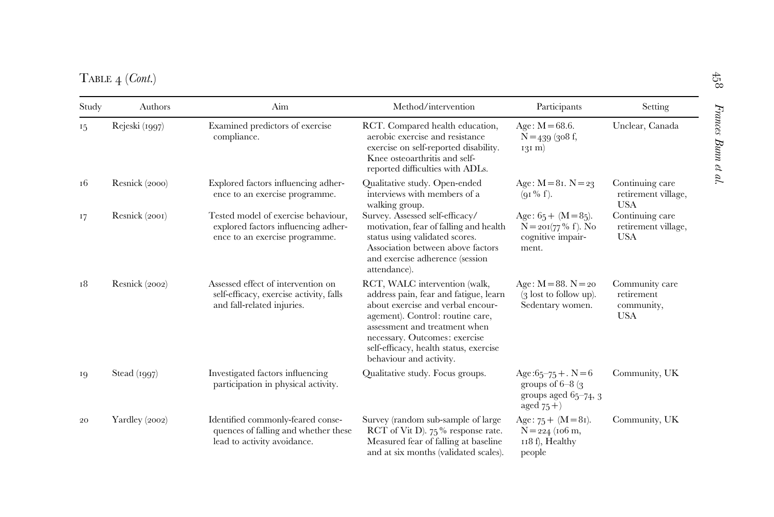$\mathrm{T}_\mathrm{ABLE}$   $_4$  (Cont.)

| Study | Authors<br>Aim<br>Examined predictors of exercise<br>Rejeski (1997)<br>compliance. |                                                                                                              | Method/intervention                                                                                                                                                                                                                                                                    | Participants                                                                           | Setting                                                  |
|-------|------------------------------------------------------------------------------------|--------------------------------------------------------------------------------------------------------------|----------------------------------------------------------------------------------------------------------------------------------------------------------------------------------------------------------------------------------------------------------------------------------------|----------------------------------------------------------------------------------------|----------------------------------------------------------|
| 15    |                                                                                    |                                                                                                              | RCT. Compared health education,<br>Age: $M = 68.6$ .<br>aerobic exercise and resistance<br>exercise on self-reported disability.<br>Knee osteoarthritis and self-<br>reported difficulties with ADLs.                                                                                  |                                                                                        | Unclear, Canada                                          |
| 16    | Resnick (2000)                                                                     | Explored factors influencing adher-<br>ence to an exercise programme.                                        | Qualitative study. Open-ended<br>Age: $M = 8i$ . $N = 23$<br>interviews with members of a<br>$(qI\% f)$ .<br>walking group.                                                                                                                                                            |                                                                                        | Continuing care<br>retirement village,<br><b>USA</b>     |
| 17    | Resnick (2001)                                                                     | Tested model of exercise behaviour,<br>explored factors influencing adher-<br>ence to an exercise programme. | Survey. Assessed self-efficacy/<br>motivation, fear of falling and health<br>status using validated scores.<br>Association between above factors<br>and exercise adherence (session<br>attendance).                                                                                    | Age: $65 + (M = 85)$ .<br>$N = 201(77\% f)$ . No<br>cognitive impair-<br>ment.         | Continuing care<br>retirement village,<br><b>USA</b>     |
| 18    | Resnick (2002)                                                                     | Assessed effect of intervention on<br>self-efficacy, exercise activity, falls<br>and fall-related injuries.  | RCT, WALC intervention (walk,<br>address pain, fear and fatigue, learn<br>about exercise and verbal encour-<br>agement). Control: routine care,<br>assessment and treatment when<br>necessary. Outcomes: exercise<br>self-efficacy, health status, exercise<br>behaviour and activity. | Age: $M = 88$ . $N = 20$<br>$(3$ lost to follow up).<br>Sedentary women.               | Community care<br>retirement<br>community,<br><b>USA</b> |
| 19    | Stead $(1997)$                                                                     | Investigated factors influencing<br>participation in physical activity.                                      | Qualitative study. Focus groups.                                                                                                                                                                                                                                                       | Age: $65 - 75 + N = 6$<br>groups of $6-8$ (3)<br>groups aged $65-74$ , 3<br>aged $75+$ | Community, UK                                            |
| 20    | Yardley (2002)                                                                     | Identified commonly-feared conse-<br>quences of falling and whether these<br>lead to activity avoidance.     | Survey (random sub-sample of large<br>RCT of Vit D). $75\%$ response rate.<br>Measured fear of falling at baseline<br>and at six months (validated scales).                                                                                                                            | Age: $75 + (M = 8i)$ .<br>$N = 224$ (106 m,<br>118 f), Healthy<br>people               | Community, UK                                            |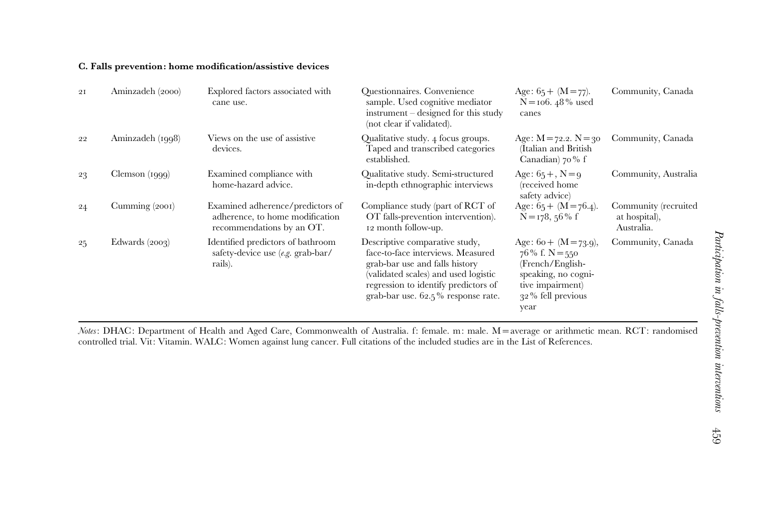#### C. Falls prevention: home modification/assistive devices

| 2I | Aminzadeh (2000) | Explored factors associated with<br>cane use.                                                    | <b>Ouestionnaires.</b> Convenience<br>sample. Used cognitive mediator<br>$instrument - designed for this study$<br>(not clear if validated).                                                                                   | Age: $65 + (M = 77)$ .<br>$N = 106.48\%$ used<br>canes                                                                                       | Community, Canada                                   |
|----|------------------|--------------------------------------------------------------------------------------------------|--------------------------------------------------------------------------------------------------------------------------------------------------------------------------------------------------------------------------------|----------------------------------------------------------------------------------------------------------------------------------------------|-----------------------------------------------------|
| 22 | Aminzadeh (1998) | Views on the use of assistive<br>devices.                                                        | Qualitative study. 4 focus groups.<br>Taped and transcribed categories<br>established.                                                                                                                                         | Age: $M = 72.2$ . $N = 30$<br>(Italian and British<br>Canadian) 70% f                                                                        | Community, Canada                                   |
| 23 | Clemson (1999)   | Examined compliance with<br>home-hazard advice.                                                  | Qualitative study. Semi-structured<br>in-depth ethnographic interviews                                                                                                                                                         | Age: $65 +$ , N = 9<br>(received home<br>safety advice                                                                                       | Community, Australia                                |
| 24 | Cumming (2001)   | Examined adherence/predictors of<br>adherence, to home modification<br>recommendations by an OT. | Compliance study (part of RCT of<br>OT falls-prevention intervention).<br>12 month follow-up.                                                                                                                                  | Age: $65 + (M = 76.4)$ .<br>$N = 178$ , 56% f                                                                                                | Community (recruited<br>at hospital),<br>Australia. |
| 25 | Edwards $(2003)$ | Identified predictors of bathroom<br>safety-device use (e.g. grab-bar/<br>rails).                | Descriptive comparative study,<br>face-to-face interviews. Measured<br>grab-bar use and falls history<br>(validated scales) and used logistic<br>regression to identify predictors of<br>grab-bar use. $62.5\%$ response rate. | Age: $6o + (M = 73.9)$ ,<br>$76\%$ f. N = 550<br>(French/English-<br>speaking, no cogni-<br>tive impairment)<br>$32\%$ fell previous<br>year | Community, Canada                                   |

Notes: DHAC: Department of Health and Aged Care, Commonwealth of Australia. f: female. m: male. M <sup>=</sup>average or arithmetic mean. RCT: randomised controlled trial. Vit: Vitamin. WALC: Women against lung cancer. Full citations of the included studies are in the List of References.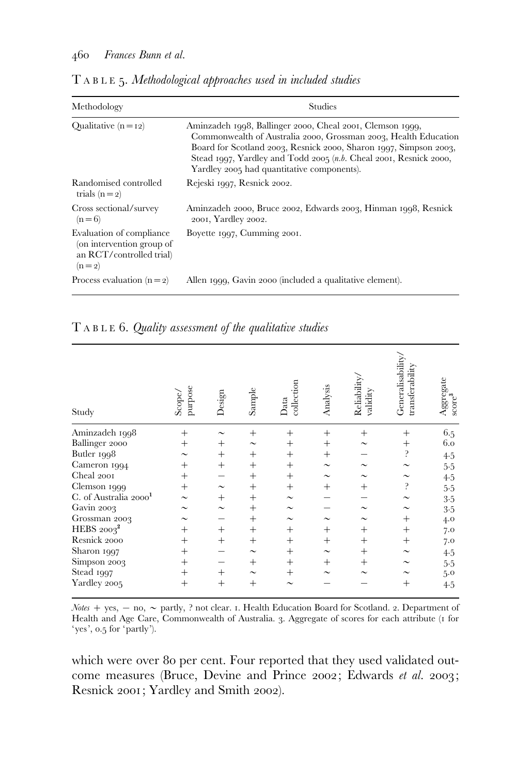| Methodology                                                                                  | <b>Studies</b>                                                                                                                                                                                                                                                                                                                        |
|----------------------------------------------------------------------------------------------|---------------------------------------------------------------------------------------------------------------------------------------------------------------------------------------------------------------------------------------------------------------------------------------------------------------------------------------|
| Qualitative $(n = 12)$                                                                       | Aminzadeh 1998, Ballinger 2000, Cheal 2001, Clemson 1999,<br>Commonwealth of Australia 2000, Grossman 2003, Health Education<br>Board for Scotland 2003, Resnick 2000, Sharon 1997, Simpson 2003,<br>Stead 1997, Yardley and Todd 2005 $(n.b. \text{Ched } 2001, \text{Resnick } 2000,$<br>Yardley 2005 had quantitative components). |
| Randomised controlled<br>trials $(n=2)$                                                      | Rejeski 1997, Resnick 2002.                                                                                                                                                                                                                                                                                                           |
| Cross sectional/survey<br>$(n=6)$                                                            | Aminzadeh 2000, Bruce 2002, Edwards 2003, Hinman 1998, Resnick<br>2001, Yardley 2002.                                                                                                                                                                                                                                                 |
| Evaluation of compliance<br>(on intervention group of<br>an RCT/controlled trial)<br>$(n=2)$ | Boyette 1997, Cumming 2001.                                                                                                                                                                                                                                                                                                           |
| Process evaluation $(n=2)$                                                                   | Allen 1999, Gavin 2000 (included a qualitative element).                                                                                                                                                                                                                                                                              |

T ABLE 5. Methodological approaches used in included studies

# T ABLE 6. Quality assessment of the qualitative studies

| Study                             | purpose<br>Scope/     | Design                | Sample                | collection<br>$_{\rm Data}$ | Analysis              | Reliability.<br>validity | Generalisability,<br>transferability | Aggregate<br>score <sup>3</sup> |
|-----------------------------------|-----------------------|-----------------------|-----------------------|-----------------------------|-----------------------|--------------------------|--------------------------------------|---------------------------------|
| Aminzadeh 1998                    | $+$                   |                       | $^{+}$                | $^{+}$                      | $^{+}$                | $^{+}$                   | $^{+}$                               | 6.5                             |
| Ballinger 2000                    | $^{+}$                | $^+$                  | $\tilde{\phantom{a}}$ | $^{+}$                      | $^{+}$                | $\sim$                   | $^{+}$                               | 6.0                             |
| Butler 1998                       | $\tilde{\phantom{a}}$ | $+$                   | $^{+}$                | $+$                         | $+$                   |                          | $\mathbf{S}$                         | 4.5                             |
| Cameron 1994                      | $^{+}$                | $^{+}$                | $^{+}$                | $^{+}$                      | $\tilde{\phantom{a}}$ | $\sim$                   | $\tilde{\phantom{a}}$                | 5.5                             |
| Cheal 2001                        | $^{+}$                |                       | $+$                   | $+$                         | $\tilde{\phantom{a}}$ | $\tilde{\phantom{a}}$    | $\tilde{\phantom{a}}$                | 4.5                             |
| Clemson 1999                      | $^{+}$                | $\tilde{\phantom{a}}$ | $+$                   | $^{+}$                      | $^{+}$                | $^{+}$                   | ċ.                                   | 5.5                             |
| C. of Australia 2000 <sup>1</sup> |                       | $^{+}$                | $+$                   | $\tilde{\phantom{a}}$       |                       |                          | $\tilde{\phantom{a}}$                | $3 - 5$                         |
| Gavin 2003                        |                       | $\tilde{\phantom{a}}$ | $^{+}$                | $\tilde{\phantom{a}}$       |                       | $\tilde{\phantom{a}}$    | $\tilde{\phantom{a}}$                | $3-5$                           |
| Grossman 2003                     | $\tilde{\phantom{a}}$ |                       | $+$                   | $\tilde{\phantom{a}}$       | $\tilde{\phantom{a}}$ | $\tilde{\phantom{a}}$    | $^{+}$                               | 4.0                             |
| HEBS $2003^2$                     | $^{+}$                | $^{+}$                | $^{+}$                | $^{+}$                      | $^{+}$                | $^{+}$                   | $^{+}$                               | 7.0                             |
| Resnick 2000                      | $^{+}$                | $^{+}$                | $+$                   | $^{+}$                      | $^{+}$                | $^{+}$                   | $^{+}$                               | 7.0                             |
| Sharon 1997                       | $^{+}$                |                       | $\sim$                | $^{+}$                      | $\sim$                | $+$                      | $\tilde{\phantom{a}}$                | 4.5                             |
| Simpson 2003                      | $^{+}$                |                       | $^{+}$                | $+$                         | $^{+}$                | $^{+}$                   |                                      | 5.5                             |
| Stead 1997                        | $^{+}$                | $^{+}$                | $\tilde{\phantom{a}}$ | $^{+}$                      | $\tilde{\phantom{a}}$ | $\tilde{\phantom{a}}$    |                                      | 5.0                             |
| Yardley 2005                      | $^{+}$                | $^{+}$                | $^{+}$                | $\sim$                      |                       |                          | $^{+}$                               | 4.5                             |

Notes + yes,  $-$  no,  $\sim$  partly, ? not clear. 1. Health Education Board for Scotland. 2. Department of Health and Age Care, Commonwealth of Australia. 3. Aggregate of scores for each attribute (1 for 'yes', 0.5 for 'partly').

which were over 80 per cent. Four reported that they used validated outcome measures (Bruce, Devine and Prince 2002; Edwards et al. 2003; Resnick 2001; Yardley and Smith 2002).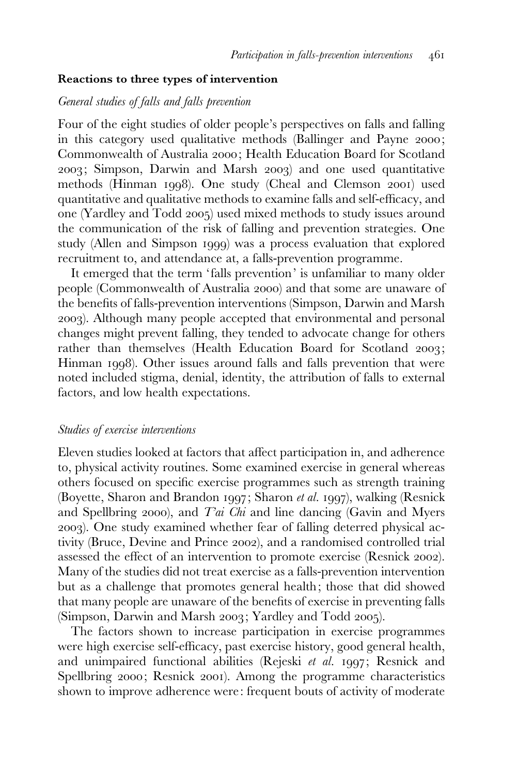#### Reactions to three types of intervention

#### General studies of falls and falls prevention

Four of the eight studies of older people's perspectives on falls and falling in this category used qualitative methods (Ballinger and Payne 2000; Commonwealth of Australia 2000; Health Education Board for Scotland 2003; Simpson, Darwin and Marsh 2003) and one used quantitative methods (Hinman 1998). One study (Cheal and Clemson 2001) used quantitative and qualitative methods to examine falls and self-efficacy, and one (Yardley and Todd 2005) used mixed methods to study issues around the communication of the risk of falling and prevention strategies. One study (Allen and Simpson 1999) was a process evaluation that explored recruitment to, and attendance at, a falls-prevention programme.

It emerged that the term 'falls prevention' is unfamiliar to many older people (Commonwealth of Australia 2000) and that some are unaware of the benefits of falls-prevention interventions (Simpson, Darwin and Marsh 2003). Although many people accepted that environmental and personal changes might prevent falling, they tended to advocate change for others rather than themselves (Health Education Board for Scotland 2003; Hinman 1998). Other issues around falls and falls prevention that were noted included stigma, denial, identity, the attribution of falls to external factors, and low health expectations.

#### Studies of exercise interventions

Eleven studies looked at factors that affect participation in, and adherence to, physical activity routines. Some examined exercise in general whereas others focused on specific exercise programmes such as strength training (Boyette, Sharon and Brandon 1997; Sharon et al. 1997), walking (Resnick and Spellbring 2000), and  $Tai$  Chi and line dancing (Gavin and Myers 2003). One study examined whether fear of falling deterred physical activity (Bruce, Devine and Prince 2002), and a randomised controlled trial assessed the effect of an intervention to promote exercise (Resnick 2002). Many of the studies did not treat exercise as a falls-prevention intervention but as a challenge that promotes general health; those that did showed that many people are unaware of the benefits of exercise in preventing falls (Simpson, Darwin and Marsh 2003; Yardley and Todd 2005).

The factors shown to increase participation in exercise programmes were high exercise self-efficacy, past exercise history, good general health, and unimpaired functional abilities (Rejeski et al. 1997; Resnick and Spellbring 2000; Resnick 2001). Among the programme characteristics shown to improve adherence were: frequent bouts of activity of moderate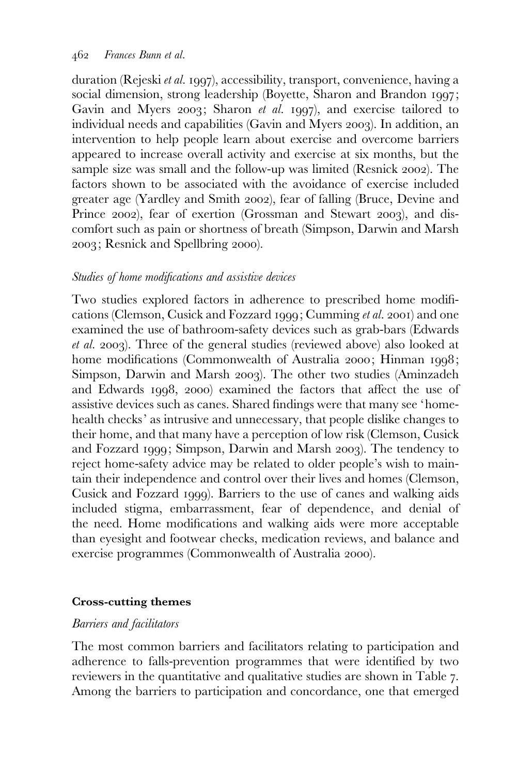duration (Rejeski et al. 1997), accessibility, transport, convenience, having a social dimension, strong leadership (Boyette, Sharon and Brandon 1997; Gavin and Myers 2003; Sharon et al. 1997), and exercise tailored to individual needs and capabilities (Gavin and Myers 2003). In addition, an intervention to help people learn about exercise and overcome barriers appeared to increase overall activity and exercise at six months, but the sample size was small and the follow-up was limited (Resnick 2002). The factors shown to be associated with the avoidance of exercise included greater age (Yardley and Smith 2002), fear of falling (Bruce, Devine and Prince 2002), fear of exertion (Grossman and Stewart 2003), and discomfort such as pain or shortness of breath (Simpson, Darwin and Marsh 2003; Resnick and Spellbring 2000).

# Studies of home modifications and assistive devices

Two studies explored factors in adherence to prescribed home modifications (Clemson, Cusick and Fozzard 1999; Cumming et al. 2001) and one examined the use of bathroom-safety devices such as grab-bars (Edwards et al. 2003). Three of the general studies (reviewed above) also looked at home modifications (Commonwealth of Australia 2000; Hinman 1998; Simpson, Darwin and Marsh 2003). The other two studies (Aminzadeh and Edwards 1998, 2000) examined the factors that affect the use of assistive devices such as canes. Shared findings were that many see 'homehealth checks' as intrusive and unnecessary, that people dislike changes to their home, and that many have a perception of low risk (Clemson, Cusick and Fozzard 1999; Simpson, Darwin and Marsh 2003). The tendency to reject home-safety advice may be related to older people's wish to maintain their independence and control over their lives and homes (Clemson, Cusick and Fozzard 1999). Barriers to the use of canes and walking aids included stigma, embarrassment, fear of dependence, and denial of the need. Home modifications and walking aids were more acceptable than eyesight and footwear checks, medication reviews, and balance and exercise programmes (Commonwealth of Australia 2000).

## Cross-cutting themes

## Barriers and facilitators

The most common barriers and facilitators relating to participation and adherence to falls-prevention programmes that were identified by two reviewers in the quantitative and qualitative studies are shown in Table 7. Among the barriers to participation and concordance, one that emerged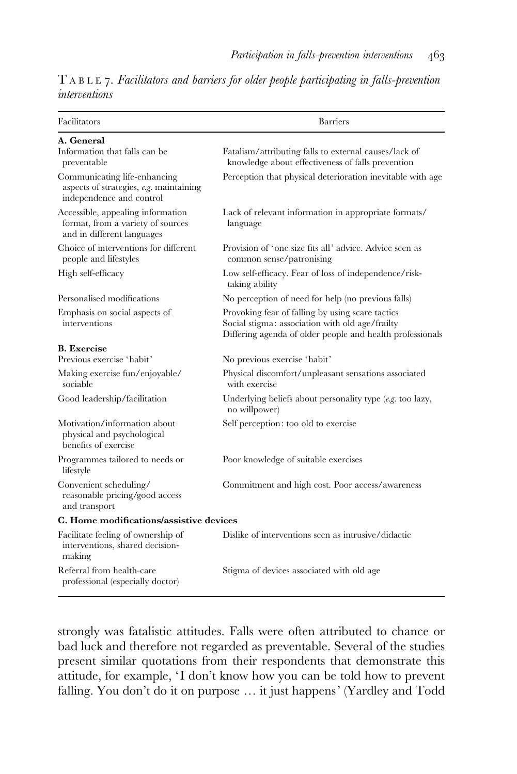|                      |  |  |  |  | $T A B L E$ 7. Facilitators and barriers for older people participating in falls-prevention |  |
|----------------------|--|--|--|--|---------------------------------------------------------------------------------------------|--|
| <i>interventions</i> |  |  |  |  |                                                                                             |  |

| Facilitators                                                                                          | <b>Barriers</b>                                                                                                                                                  |
|-------------------------------------------------------------------------------------------------------|------------------------------------------------------------------------------------------------------------------------------------------------------------------|
| A. General<br>Information that falls can be<br>preventable                                            | Fatalism/attributing falls to external causes/lack of<br>knowledge about effectiveness of falls prevention                                                       |
| Communicating life-enhancing<br>aspects of strategies, $e.g.$ maintaining<br>independence and control | Perception that physical deterioration inevitable with age                                                                                                       |
| Accessible, appealing information<br>format, from a variety of sources<br>and in different languages  | Lack of relevant information in appropriate formats/<br>language                                                                                                 |
| Choice of interventions for different<br>people and lifestyles                                        | Provision of 'one size fits all' advice. Advice seen as<br>common sense/patronising                                                                              |
| High self-efficacy                                                                                    | Low self-efficacy. Fear of loss of independence/risk-<br>taking ability                                                                                          |
| Personalised modifications                                                                            | No perception of need for help (no previous falls)                                                                                                               |
| Emphasis on social aspects of<br>interventions                                                        | Provoking fear of falling by using scare tactics<br>Social stigma: association with old age/frailty<br>Differing agenda of older people and health professionals |
| <b>B.</b> Exercise                                                                                    |                                                                                                                                                                  |
| Previous exercise 'habit'                                                                             | No previous exercise 'habit'                                                                                                                                     |
| Making exercise fun/enjoyable/<br>sociable                                                            | Physical discomfort/unpleasant sensations associated<br>with exercise                                                                                            |
| Good leadership/facilitation                                                                          | Underlying beliefs about personality type (e.g. too lazy,<br>no willpower)                                                                                       |
| Motivation/information about<br>physical and psychological<br>benefits of exercise                    | Self perception: too old to exercise                                                                                                                             |
| Programmes tailored to needs or<br>lifestyle                                                          | Poor knowledge of suitable exercises                                                                                                                             |
| Convenient scheduling/<br>reasonable pricing/good access<br>and transport                             | Commitment and high cost. Poor access/awareness                                                                                                                  |
| C. Home modifications/assistive devices                                                               |                                                                                                                                                                  |
| Facilitate feeling of ownership of<br>interventions, shared decision-<br>making                       | Dislike of interventions seen as intrusive/didactic                                                                                                              |
| Referral from health-care<br>professional (especially doctor)                                         | Stigma of devices associated with old age                                                                                                                        |

strongly was fatalistic attitudes. Falls were often attributed to chance or bad luck and therefore not regarded as preventable. Several of the studies present similar quotations from their respondents that demonstrate this attitude, for example, 'I don't know how you can be told how to prevent falling. You don't do it on purpose … it just happens' (Yardley and Todd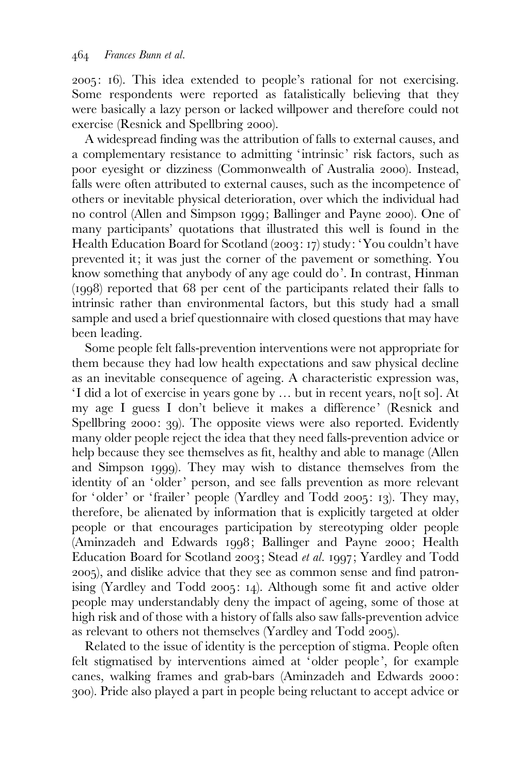2005: 16). This idea extended to people's rational for not exercising. Some respondents were reported as fatalistically believing that they were basically a lazy person or lacked willpower and therefore could not exercise (Resnick and Spellbring 2000).

A widespread finding was the attribution of falls to external causes, and a complementary resistance to admitting 'intrinsic' risk factors, such as poor eyesight or dizziness (Commonwealth of Australia 2000). Instead, falls were often attributed to external causes, such as the incompetence of others or inevitable physical deterioration, over which the individual had no control (Allen and Simpson 1999; Ballinger and Payne 2000). One of many participants' quotations that illustrated this well is found in the Health Education Board for Scotland (2003: 17) study: 'You couldn't have prevented it; it was just the corner of the pavement or something. You know something that anybody of any age could do'. In contrast, Hinman (1998) reported that 68 per cent of the participants related their falls to intrinsic rather than environmental factors, but this study had a small sample and used a brief questionnaire with closed questions that may have been leading.

Some people felt falls-prevention interventions were not appropriate for them because they had low health expectations and saw physical decline as an inevitable consequence of ageing. A characteristic expression was, ' I did a lot of exercise in years gone by … but in recent years, no[t so]. At my age I guess I don't believe it makes a difference' (Resnick and Spellbring 2000: 39). The opposite views were also reported. Evidently many older people reject the idea that they need falls-prevention advice or help because they see themselves as fit, healthy and able to manage (Allen and Simpson 1999). They may wish to distance themselves from the identity of an 'older' person, and see falls prevention as more relevant for 'older' or 'frailer' people (Yardley and Todd 2005: 13). They may, therefore, be alienated by information that is explicitly targeted at older people or that encourages participation by stereotyping older people (Aminzadeh and Edwards 1998; Ballinger and Payne 2000; Health Education Board for Scotland 2003; Stead et al. 1997; Yardley and Todd 2005), and dislike advice that they see as common sense and find patronising (Yardley and Todd 2005: 14). Although some fit and active older people may understandably deny the impact of ageing, some of those at high risk and of those with a history of falls also saw falls-prevention advice as relevant to others not themselves (Yardley and Todd 2005).

Related to the issue of identity is the perception of stigma. People often felt stigmatised by interventions aimed at 'older people', for example canes, walking frames and grab-bars (Aminzadeh and Edwards 2000: 300). Pride also played a part in people being reluctant to accept advice or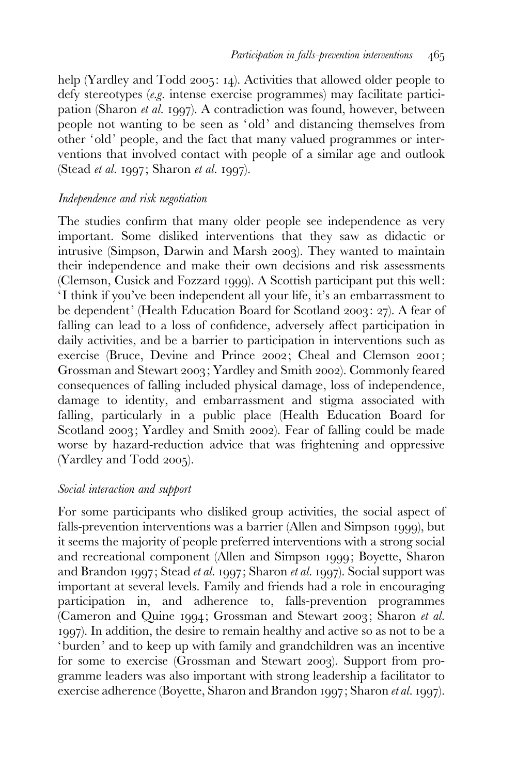help (Yardley and Todd 2005: 14). Activities that allowed older people to defy stereotypes (e.g. intense exercise programmes) may facilitate participation (Sharon et al. 1997). A contradiction was found, however, between people not wanting to be seen as 'old' and distancing themselves from other ' old' people, and the fact that many valued programmes or interventions that involved contact with people of a similar age and outlook (Stead et al. 1997; Sharon et al. 1997).

## Independence and risk negotiation

The studies confirm that many older people see independence as very important. Some disliked interventions that they saw as didactic or intrusive (Simpson, Darwin and Marsh 2003). They wanted to maintain their independence and make their own decisions and risk assessments (Clemson, Cusick and Fozzard 1999). A Scottish participant put this well: ' I think if you've been independent all your life, it's an embarrassment to be dependent' (Health Education Board for Scotland 2003: 27). A fear of falling can lead to a loss of confidence, adversely affect participation in daily activities, and be a barrier to participation in interventions such as exercise (Bruce, Devine and Prince 2002; Cheal and Clemson 2001; Grossman and Stewart 2003; Yardley and Smith 2002). Commonly feared consequences of falling included physical damage, loss of independence, damage to identity, and embarrassment and stigma associated with falling, particularly in a public place (Health Education Board for Scotland 2003; Yardley and Smith 2002). Fear of falling could be made worse by hazard-reduction advice that was frightening and oppressive (Yardley and Todd 2005).

## Social interaction and support

For some participants who disliked group activities, the social aspect of falls-prevention interventions was a barrier (Allen and Simpson 1999), but it seems the majority of people preferred interventions with a strong social and recreational component (Allen and Simpson 1999; Boyette, Sharon and Brandon 1997; Stead et al. 1997; Sharon et al. 1997). Social support was important at several levels. Family and friends had a role in encouraging participation in, and adherence to, falls-prevention programmes (Cameron and Quine 1994; Grossman and Stewart 2003; Sharon et al. 1997). In addition, the desire to remain healthy and active so as not to be a 'burden' and to keep up with family and grandchildren was an incentive for some to exercise (Grossman and Stewart 2003). Support from programme leaders was also important with strong leadership a facilitator to exercise adherence (Boyette, Sharon and Brandon 1997; Sharon et al. 1997).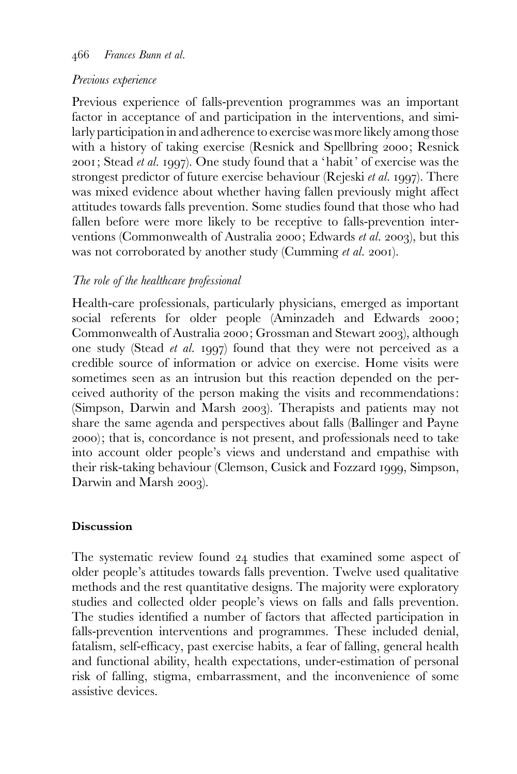#### 466 Frances Bunn et al.

### Previous experience

Previous experience of falls-prevention programmes was an important factor in acceptance of and participation in the interventions, and similarly participation in and adherence to exercise was more likely among those with a history of taking exercise (Resnick and Spellbring 2000; Resnick 2001; Stead et al. 1997). One study found that a 'habit' of exercise was the strongest predictor of future exercise behaviour (Rejeski et al. 1997). There was mixed evidence about whether having fallen previously might affect attitudes towards falls prevention. Some studies found that those who had fallen before were more likely to be receptive to falls-prevention interventions (Commonwealth of Australia 2000; Edwards et al. 2003), but this was not corroborated by another study (Cumming *et al.* 2001).

# The role of the healthcare professional

Health-care professionals, particularly physicians, emerged as important social referents for older people (Aminzadeh and Edwards 2000; Commonwealth of Australia 2000; Grossman and Stewart 2003), although one study (Stead et al. 1997) found that they were not perceived as a credible source of information or advice on exercise. Home visits were sometimes seen as an intrusion but this reaction depended on the perceived authority of the person making the visits and recommendations: (Simpson, Darwin and Marsh 2003). Therapists and patients may not share the same agenda and perspectives about falls (Ballinger and Payne 2000); that is, concordance is not present, and professionals need to take into account older people's views and understand and empathise with their risk-taking behaviour (Clemson, Cusick and Fozzard 1999, Simpson, Darwin and Marsh 2003).

## **Discussion**

The systematic review found 24 studies that examined some aspect of older people's attitudes towards falls prevention. Twelve used qualitative methods and the rest quantitative designs. The majority were exploratory studies and collected older people's views on falls and falls prevention. The studies identified a number of factors that affected participation in falls-prevention interventions and programmes. These included denial, fatalism, self-efficacy, past exercise habits, a fear of falling, general health and functional ability, health expectations, under-estimation of personal risk of falling, stigma, embarrassment, and the inconvenience of some assistive devices.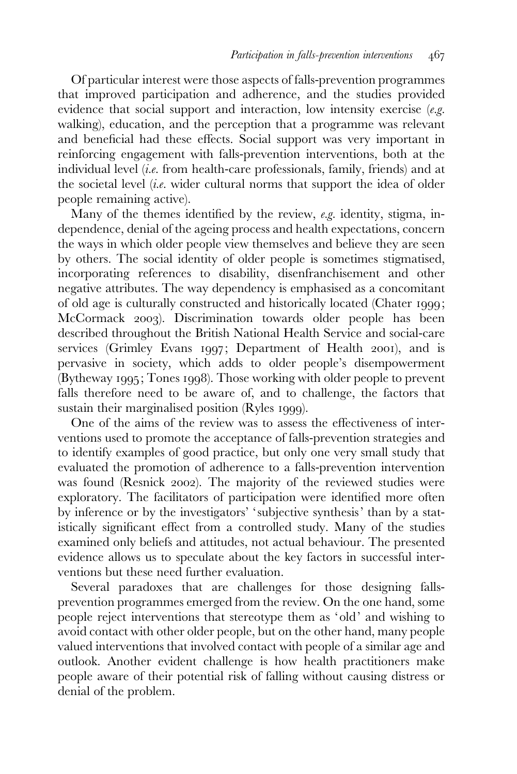Of particular interest were those aspects of falls-prevention programmes that improved participation and adherence, and the studies provided evidence that social support and interaction, low intensity exercise  $(e.g.$ walking), education, and the perception that a programme was relevant and beneficial had these effects. Social support was very important in reinforcing engagement with falls-prevention interventions, both at the individual level (i.e. from health-care professionals, family, friends) and at the societal level  $(i.e.$  wider cultural norms that support the idea of older people remaining active).

Many of the themes identified by the review, e.g. identity, stigma, independence, denial of the ageing process and health expectations, concern the ways in which older people view themselves and believe they are seen by others. The social identity of older people is sometimes stigmatised, incorporating references to disability, disenfranchisement and other negative attributes. The way dependency is emphasised as a concomitant of old age is culturally constructed and historically located (Chater 1999; McCormack 2003). Discrimination towards older people has been described throughout the British National Health Service and social-care services (Grimley Evans 1997; Department of Health 2001), and is pervasive in society, which adds to older people's disempowerment (Bytheway 1995; Tones 1998). Those working with older people to prevent falls therefore need to be aware of, and to challenge, the factors that sustain their marginalised position (Ryles 1999).

One of the aims of the review was to assess the effectiveness of interventions used to promote the acceptance of falls-prevention strategies and to identify examples of good practice, but only one very small study that evaluated the promotion of adherence to a falls-prevention intervention was found (Resnick 2002). The majority of the reviewed studies were exploratory. The facilitators of participation were identified more often by inference or by the investigators' ' subjective synthesis' than by a statistically significant effect from a controlled study. Many of the studies examined only beliefs and attitudes, not actual behaviour. The presented evidence allows us to speculate about the key factors in successful interventions but these need further evaluation.

Several paradoxes that are challenges for those designing fallsprevention programmes emerged from the review. On the one hand, some people reject interventions that stereotype them as 'old' and wishing to avoid contact with other older people, but on the other hand, many people valued interventions that involved contact with people of a similar age and outlook. Another evident challenge is how health practitioners make people aware of their potential risk of falling without causing distress or denial of the problem.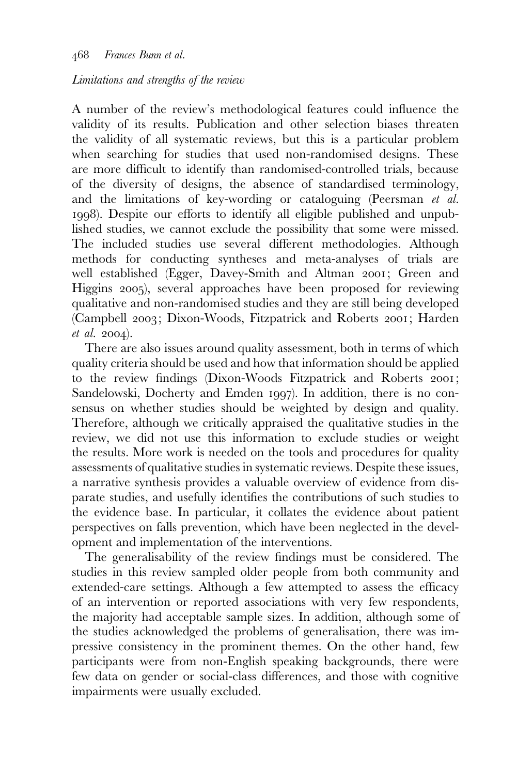### Limitations and strengths of the review

A number of the review's methodological features could influence the validity of its results. Publication and other selection biases threaten the validity of all systematic reviews, but this is a particular problem when searching for studies that used non-randomised designs. These are more difficult to identify than randomised-controlled trials, because of the diversity of designs, the absence of standardised terminology, and the limitations of key-wording or cataloguing (Peersman et al. 1998). Despite our efforts to identify all eligible published and unpublished studies, we cannot exclude the possibility that some were missed. The included studies use several different methodologies. Although methods for conducting syntheses and meta-analyses of trials are well established (Egger, Davey-Smith and Altman 2001; Green and Higgins 2005), several approaches have been proposed for reviewing qualitative and non-randomised studies and they are still being developed (Campbell 2003; Dixon-Woods, Fitzpatrick and Roberts 2001; Harden et al. 2004).

There are also issues around quality assessment, both in terms of which quality criteria should be used and how that information should be applied to the review findings (Dixon-Woods Fitzpatrick and Roberts 2001; Sandelowski, Docherty and Emden 1997). In addition, there is no consensus on whether studies should be weighted by design and quality. Therefore, although we critically appraised the qualitative studies in the review, we did not use this information to exclude studies or weight the results. More work is needed on the tools and procedures for quality assessments of qualitative studies in systematic reviews. Despite these issues, a narrative synthesis provides a valuable overview of evidence from disparate studies, and usefully identifies the contributions of such studies to the evidence base. In particular, it collates the evidence about patient perspectives on falls prevention, which have been neglected in the development and implementation of the interventions.

The generalisability of the review findings must be considered. The studies in this review sampled older people from both community and extended-care settings. Although a few attempted to assess the efficacy of an intervention or reported associations with very few respondents, the majority had acceptable sample sizes. In addition, although some of the studies acknowledged the problems of generalisation, there was impressive consistency in the prominent themes. On the other hand, few participants were from non-English speaking backgrounds, there were few data on gender or social-class differences, and those with cognitive impairments were usually excluded.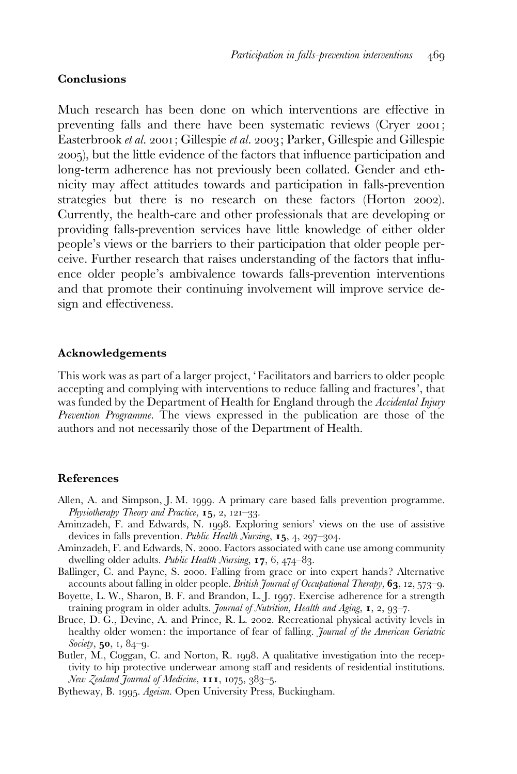### Conclusions

Much research has been done on which interventions are effective in preventing falls and there have been systematic reviews (Cryer 2001; Easterbrook et al. 2001; Gillespie et al. 2003; Parker, Gillespie and Gillespie 2005), but the little evidence of the factors that influence participation and long-term adherence has not previously been collated. Gender and ethnicity may affect attitudes towards and participation in falls-prevention strategies but there is no research on these factors (Horton 2002). Currently, the health-care and other professionals that are developing or providing falls-prevention services have little knowledge of either older people's views or the barriers to their participation that older people perceive. Further research that raises understanding of the factors that influence older people's ambivalence towards falls-prevention interventions and that promote their continuing involvement will improve service design and effectiveness.

#### Acknowledgements

This work was as part of a larger project, 'Facilitators and barriers to older people accepting and complying with interventions to reduce falling and fractures', that was funded by the Department of Health for England through the Accidental Injury Prevention Programme. The views expressed in the publication are those of the authors and not necessarily those of the Department of Health.

## References

- Allen, A. and Simpson, J. M. 1999. A primary care based falls prevention programme. Physiotherapy Theory and Practice,  $15, 2, 121-33$ .
- Aminzadeh, F. and Edwards, N. 1998. Exploring seniors' views on the use of assistive devices in falls prevention. Public Health Nursing, 15, 4, 297-304.
- Aminzadeh, F. and Edwards, N. 2000. Factors associated with cane use among community dwelling older adults. Public Health Nursing, 17, 6, 474–83.
- Ballinger, C. and Payne, S. 2000. Falling from grace or into expert hands ? Alternative accounts about falling in older people. British Journal of Occupational Therapy,  $63$ ,  $12$ ,  $573-9$ .
- Boyette, L. W., Sharon, B. F. and Brandon, L. J. 1997. Exercise adherence for a strength training program in older adults. Journal of Nutrition, Health and Aging, 1, 2, 93-7.
- Bruce, D. G., Devine, A. and Prince, R. L. 2002. Recreational physical activity levels in healthy older women: the importance of fear of falling. Journal of the American Geriatric Society, 50, 1, 84-9.
- Butler, M., Coggan, C. and Norton, R. 1998. A qualitative investigation into the receptivity to hip protective underwear among staff and residents of residential institutions. New Zealand Journal of Medicine, 111, 1075, 383-5.
- Bytheway, B. 1995. Ageism. Open University Press, Buckingham.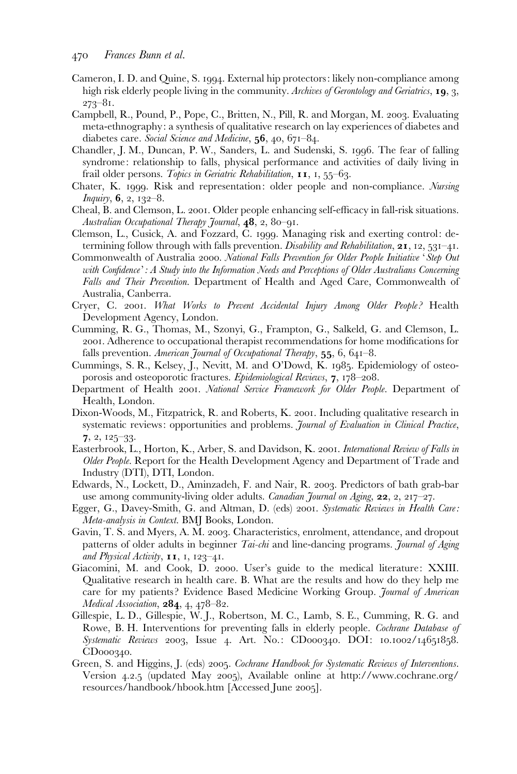- Cameron, I. D. and Quine, S. 1994. External hip protectors: likely non-compliance among high risk elderly people living in the community. Archives of Gerontology and Geriatrics, 19, 3, 273–81.
- Campbell, R., Pound, P., Pope, C., Britten, N., Pill, R. and Morgan, M. 2003. Evaluating meta-ethnography: a synthesis of qualitative research on lay experiences of diabetes and diabetes care. Social Science and Medicine, 56, 40, 671-84.
- Chandler, J. M., Duncan, P. W., Sanders, L. and Sudenski, S. 1996. The fear of falling syndrome: relationship to falls, physical performance and activities of daily living in frail older persons. Topics in Geriatric Rehabilitation,  $II, I, 55-63$ .
- Chater, K. 1999. Risk and representation: older people and non-compliance. Nursing Inquiry, 6, 2, 132–8.
- Cheal, B. and Clemson, L. 2001. Older people enhancing self-efficacy in fall-risk situations. Australian Occupational Therapy Journal, 48, 2, 80-91.
- Clemson, L., Cusick, A. and Fozzard, C. 1999. Managing risk and exerting control: determining follow through with falls prevention. Disability and Rehabilitation,  $2I$ ,  $12$ ,  $53I-4I$ .
- Commonwealth of Australia 2000. National Falls Prevention for Older People Initiative 'Step Out with Confidence': A Study into the Information Needs and Perceptions of Older Australians Concerning Falls and Their Prevention. Department of Health and Aged Care, Commonwealth of Australia, Canberra.
- Cryer, C. 2001. What Works to Prevent Accidental Injury Among Older People? Health Development Agency, London.
- Cumming, R. G., Thomas, M., Szonyi, G., Frampton, G., Salkeld, G. and Clemson, L. 2001. Adherence to occupational therapist recommendations for home modifications for falls prevention. American Journal of Occupational Therapy, 55, 6, 641-8.
- Cummings, S. R., Kelsey, J., Nevitt, M. and O'Dowd, K. 1985. Epidemiology of osteoporosis and osteoporotic fractures. Epidemiological Reviews, 7, 178-208.
- Department of Health 2001. National Service Framework for Older People. Department of Health, London.
- Dixon-Woods, M., Fitzpatrick, R. and Roberts, K. 2001. Including qualitative research in systematic reviews: opportunities and problems. Journal of Evaluation in Clinical Practice, 7, 2, 125–33.
- Easterbrook, L., Horton, K., Arber, S. and Davidson, K. 2001. International Review of Falls in Older People. Report for the Health Development Agency and Department of Trade and Industry (DTI), DTI, London.
- Edwards, N., Lockett, D., Aminzadeh, F. and Nair, R. 2003. Predictors of bath grab-bar use among community-living older adults. Canadian Journal on Aging,  $22$ ,  $2$ ,  $217-27$ .
- Egger, G., Davey-Smith, G. and Altman, D. (eds) 2001. Systematic Reviews in Health Care: Meta-analysis in Context. BMJ Books, London.
- Gavin, T. S. and Myers, A. M. 2003. Characteristics, enrolment, attendance, and dropout patterns of older adults in beginner Tai-chi and line-dancing programs. Journal of Aging and Physical Activity,  $II, I, 123-4I$ .
- Giacomini, M. and Cook, D. 2000. User's guide to the medical literature: XXIII. Qualitative research in health care. B. What are the results and how do they help me care for my patients? Evidence Based Medicine Working Group. *Journal of American* Medical Association,  $284, 4, 478-82$ .
- Gillespie, L. D., Gillespie, W. J., Robertson, M. C., Lamb, S. E., Cumming, R. G. and Rowe, B. H. Interventions for preventing falls in elderly people. Cochrane Database of Systematic Reviews 2003, Issue 4. Art. No.: CD000340. DOI: 10.1002/14651858. CD000340.
- Green, S. and Higgins, J. (eds) 2005. Cochrane Handbook for Systematic Reviews of Interventions. Version 4.2.5 (updated May 2005), Available online at http://www.cochrane.org/ resources/handbook/hbook.htm [Accessed June 2005].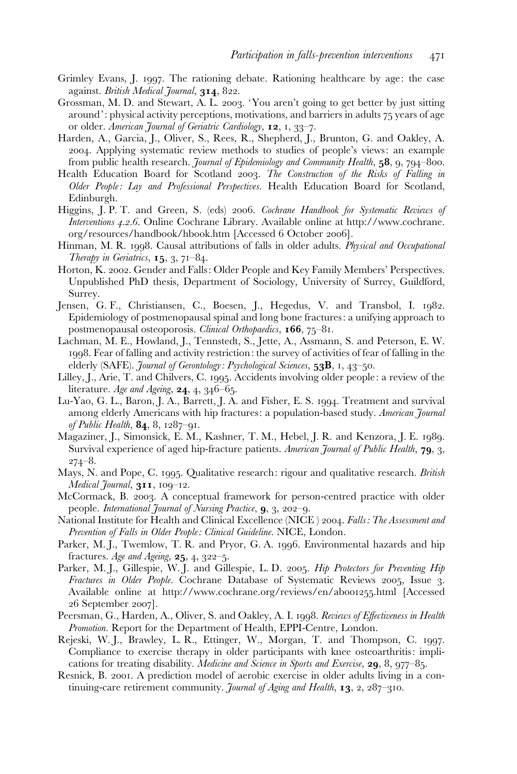- Grimley Evans, J. 1997. The rationing debate. Rationing healthcare by age: the case against. British Medical Journal, 314, 822.
- Grossman, M. D. and Stewart, A. L. 2003. 'You aren't going to get better by just sitting around': physical activity perceptions, motivations, and barriers in adults 75 years of age or older. American Journal of Geriatric Cardiology, 12, 1, 33–7.
- Harden, A., Garcia, J., Oliver, S., Rees, R., Shepherd, J., Brunton, G. and Oakley, A. 2004. Applying systematic review methods to studies of people's views: an example from public health research. Journal of Epidemiology and Community Health, 58, 9, 794–800.
- Health Education Board for Scotland 2003. The Construction of the Risks of Falling in Older People: Lay and Professional Perspectives. Health Education Board for Scotland, Edinburgh.
- Higgins, J. P. T. and Green, S. (eds) 2006. Cochrane Handbook for Systematic Reviews of Interventions 4.2.6. Online Cochrane Library. Available online at http://www.cochrane. org/resources/handbook/hbook.htm [Accessed 6 October 2006].
- Hinman, M. R. 1998. Causal attributions of falls in older adults. Physical and Occupational Therapy in Geriatrics,  $15, 3, 71-84$ .
- Horton, K. 2002. Gender and Falls: Older People and Key Family Members' Perspectives. Unpublished PhD thesis, Department of Sociology, University of Surrey, Guildford, Surrey.
- Jensen, G. F., Christiansen, C., Boesen, J., Hegedus, V. and Transbol, I. 1982. Epidemiology of postmenopausal spinal and long bone fractures: a unifying approach to postmenopausal osteoporosis. Clinical Orthopaedics,  $166, 75-81$ .
- Lachman, M. E., Howland, J., Tennstedt, S., Jette, A., Assmann, S. and Peterson, E. W. 1998. Fear of falling and activity restriction: the survey of activities of fear of falling in the elderly (SAFE). *Journal of Gerontology: Psychological Sciences*, 53B, 1, 43–50.
- Lilley, J., Arie, T. and Chilvers, C. 1995. Accidents involving older people: a review of the literature. Age and Ageing,  $24$ ,  $4$ ,  $346-65$ .
- Lu-Yao, G. L., Baron, J. A., Barrett, J. A. and Fisher, E. S. 1994. Treatment and survival among elderly Americans with hip fractures: a population-based study. American Journal of Public Health,  $84, 8, 1287 - 91$ .
- Magaziner, J., Simonsick, E. M., Kashner, T. M., Hebel, J. R. and Kenzora, J. E. 1989. Survival experience of aged hip-fracture patients. American Journal of Public Health, 79, 3, 274–8.
- Mays, N. and Pope, C. 1995. Qualitative research: rigour and qualitative research. British Medical Journal, 311, 109-12.
- McCormack, B. 2003. A conceptual framework for person-centred practice with older people. International Journal of Nursing Practice, 9, 3, 202–9.
- National Institute for Health and Clinical Excellence (NICE) 2004. Falls: The Assessment and Prevention of Falls in Older People: Clinical Guideline. NICE, London.
- Parker, M. J., Twemlow, T. R. and Pryor, G. A. 1996. Environmental hazards and hip fractures. Age and Ageing,  $25, 4, 322-5$ .
- Parker, M. J., Gillespie, W. J. and Gillespie, L. D. 2005. *Hip Protectors for Preventing Hip* Fractures in Older People. Cochrane Database of Systematic Reviews 2005, Issue 3. Available online at http://www.cochrane.org/reviews/en/ab001255.html [Accessed 26 September 2007].
- Peersman, G., Harden, A., Oliver, S. and Oakley, A. I. 1998. Reviews of Effectiveness in Health Promotion. Report for the Department of Health, EPPI-Centre, London.
- Rejeski, W. J., Brawley, L. R., Ettinger, W., Morgan, T. and Thompson, C. 1997. Compliance to exercise therapy in older participants with knee osteoarthritis: implications for treating disability. Medicine and Science in Sports and Exercise, 29, 8, 977–85.
- Resnick, B. 2001. A prediction model of aerobic exercise in older adults living in a continuing-care retirement community. Journal of Aging and Health, 13, 2, 287-310.